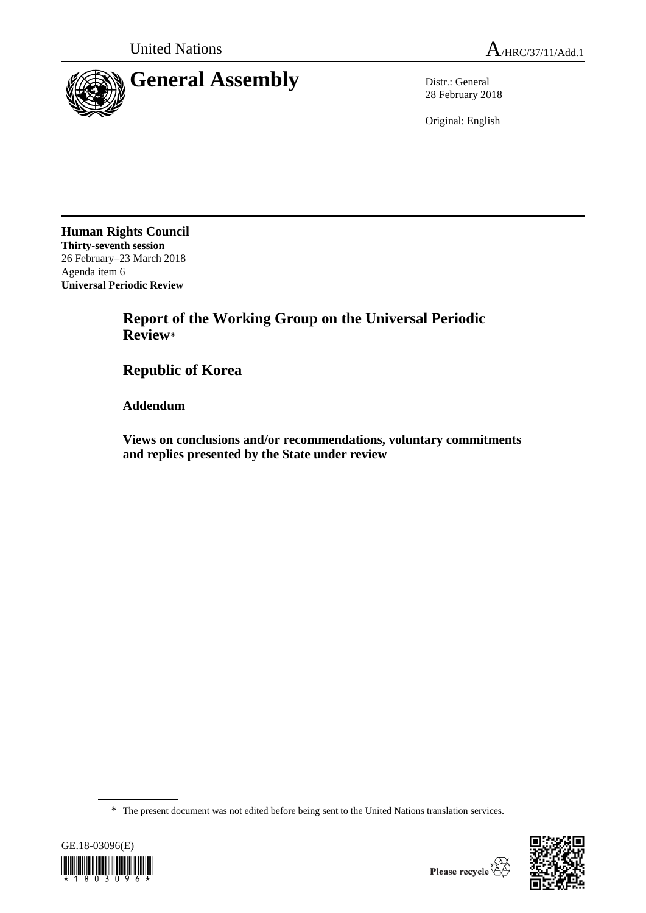

28 February 2018

Original: English

**Human Rights Council Thirty-seventh session** 26 February–23 March 2018 Agenda item 6 **Universal Periodic Review**

> **Report of the Working Group on the Universal Periodic Review**\*

**Republic of Korea**

**Addendum**

**Views on conclusions and/or recommendations, voluntary commitments and replies presented by the State under review**

\* The present document was not edited before being sent to the United Nations translation services.



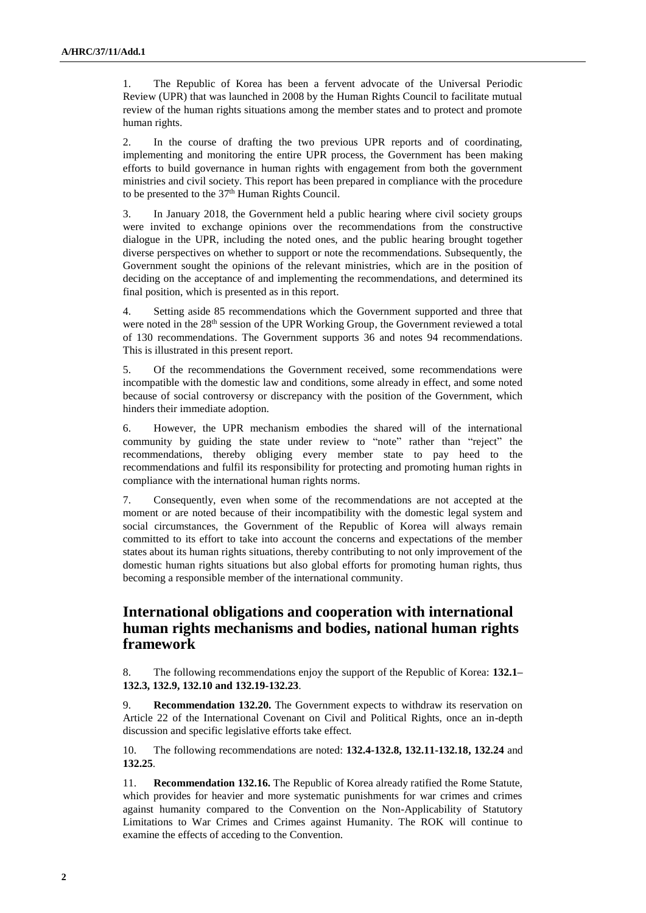1. The Republic of Korea has been a fervent advocate of the Universal Periodic Review (UPR) that was launched in 2008 by the Human Rights Council to facilitate mutual review of the human rights situations among the member states and to protect and promote human rights.

2. In the course of drafting the two previous UPR reports and of coordinating, implementing and monitoring the entire UPR process, the Government has been making efforts to build governance in human rights with engagement from both the government ministries and civil society. This report has been prepared in compliance with the procedure to be presented to the  $37<sup>th</sup>$  Human Rights Council.

3. In January 2018, the Government held a public hearing where civil society groups were invited to exchange opinions over the recommendations from the constructive dialogue in the UPR, including the noted ones, and the public hearing brought together diverse perspectives on whether to support or note the recommendations. Subsequently, the Government sought the opinions of the relevant ministries, which are in the position of deciding on the acceptance of and implementing the recommendations, and determined its final position, which is presented as in this report.

4. Setting aside 85 recommendations which the Government supported and three that were noted in the 28<sup>th</sup> session of the UPR Working Group, the Government reviewed a total of 130 recommendations. The Government supports 36 and notes 94 recommendations. This is illustrated in this present report.

5. Of the recommendations the Government received, some recommendations were incompatible with the domestic law and conditions, some already in effect, and some noted because of social controversy or discrepancy with the position of the Government, which hinders their immediate adoption.

6. However, the UPR mechanism embodies the shared will of the international community by guiding the state under review to "note" rather than "reject" the recommendations, thereby obliging every member state to pay heed to the recommendations and fulfil its responsibility for protecting and promoting human rights in compliance with the international human rights norms.

7. Consequently, even when some of the recommendations are not accepted at the moment or are noted because of their incompatibility with the domestic legal system and social circumstances, the Government of the Republic of Korea will always remain committed to its effort to take into account the concerns and expectations of the member states about its human rights situations, thereby contributing to not only improvement of the domestic human rights situations but also global efforts for promoting human rights, thus becoming a responsible member of the international community.

# **International obligations and cooperation with international human rights mechanisms and bodies, national human rights framework**

8. The following recommendations enjoy the support of the Republic of Korea: **132.1– 132.3, 132.9, 132.10 and 132.19-132.23**.

9. **Recommendation 132.20.** The Government expects to withdraw its reservation on Article 22 of the International Covenant on Civil and Political Rights, once an in-depth discussion and specific legislative efforts take effect.

10. The following recommendations are noted: **132.4-132.8, 132.11-132.18, 132.24** and **132.25**.

11. **Recommendation 132.16.** The Republic of Korea already ratified the Rome Statute, which provides for heavier and more systematic punishments for war crimes and crimes against humanity compared to the Convention on the Non-Applicability of Statutory Limitations to War Crimes and Crimes against Humanity. The ROK will continue to examine the effects of acceding to the Convention.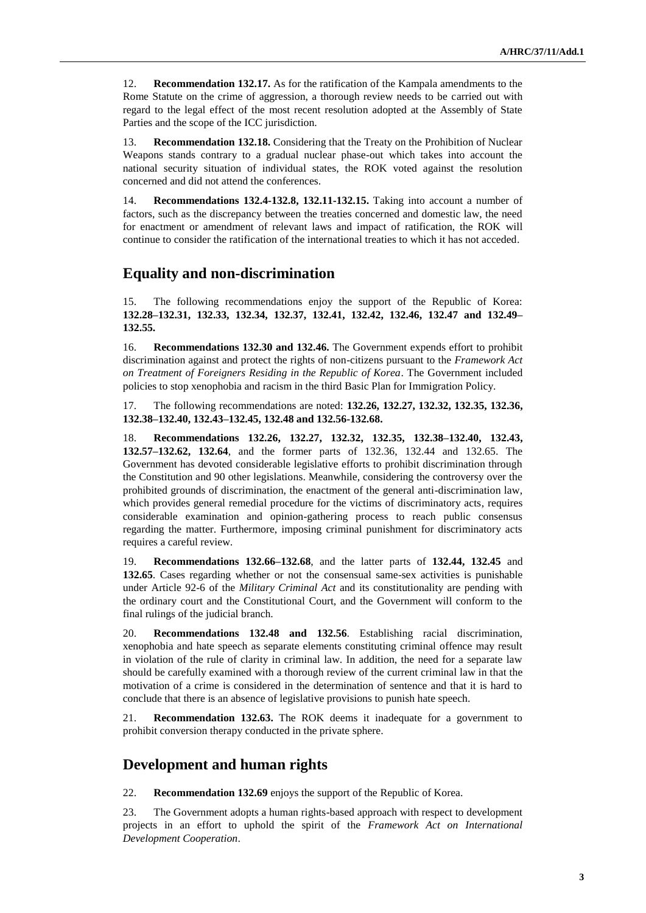12. **Recommendation 132.17.** As for the ratification of the Kampala amendments to the Rome Statute on the crime of aggression, a thorough review needs to be carried out with regard to the legal effect of the most recent resolution adopted at the Assembly of State Parties and the scope of the ICC jurisdiction.

13. **Recommendation 132.18.** Considering that the Treaty on the Prohibition of Nuclear Weapons stands contrary to a gradual nuclear phase-out which takes into account the national security situation of individual states, the ROK voted against the resolution concerned and did not attend the conferences.

14. **Recommendations 132.4-132.8, 132.11-132.15.** Taking into account a number of factors, such as the discrepancy between the treaties concerned and domestic law, the need for enactment or amendment of relevant laws and impact of ratification, the ROK will continue to consider the ratification of the international treaties to which it has not acceded.

### **Equality and non-discrimination**

15. The following recommendations enjoy the support of the Republic of Korea: **132.28–132.31, 132.33, 132.34, 132.37, 132.41, 132.42, 132.46, 132.47 and 132.49– 132.55.**

16. **Recommendations 132.30 and 132.46.** The Government expends effort to prohibit discrimination against and protect the rights of non-citizens pursuant to the *Framework Act on Treatment of Foreigners Residing in the Republic of Korea*. The Government included policies to stop xenophobia and racism in the third Basic Plan for Immigration Policy.

17. The following recommendations are noted: **132.26, 132.27, 132.32, 132.35, 132.36, 132.38–132.40, 132.43–132.45, 132.48 and 132.56-132.68.**

18. **Recommendations 132.26, 132.27, 132.32, 132.35, 132.38–132.40, 132.43, 132.57–132.62, 132.64**, and the former parts of 132.36, 132.44 and 132.65. The Government has devoted considerable legislative efforts to prohibit discrimination through the Constitution and 90 other legislations. Meanwhile, considering the controversy over the prohibited grounds of discrimination, the enactment of the general anti-discrimination law, which provides general remedial procedure for the victims of discriminatory acts, requires considerable examination and opinion-gathering process to reach public consensus regarding the matter. Furthermore, imposing criminal punishment for discriminatory acts requires a careful review.

19. **Recommendations 132.66–132.68**, and the latter parts of **132.44, 132.45** and **132.65**. Cases regarding whether or not the consensual same-sex activities is punishable under Article 92-6 of the *Military Criminal Act* and its constitutionality are pending with the ordinary court and the Constitutional Court, and the Government will conform to the final rulings of the judicial branch.

20. **Recommendations 132.48 and 132.56**. Establishing racial discrimination, xenophobia and hate speech as separate elements constituting criminal offence may result in violation of the rule of clarity in criminal law. In addition, the need for a separate law should be carefully examined with a thorough review of the current criminal law in that the motivation of a crime is considered in the determination of sentence and that it is hard to conclude that there is an absence of legislative provisions to punish hate speech.

21. **Recommendation 132.63.** The ROK deems it inadequate for a government to prohibit conversion therapy conducted in the private sphere.

### **Development and human rights**

22. **Recommendation 132.69** enjoys the support of the Republic of Korea.

23. The Government adopts a human rights-based approach with respect to development projects in an effort to uphold the spirit of the *Framework Act on International Development Cooperation*.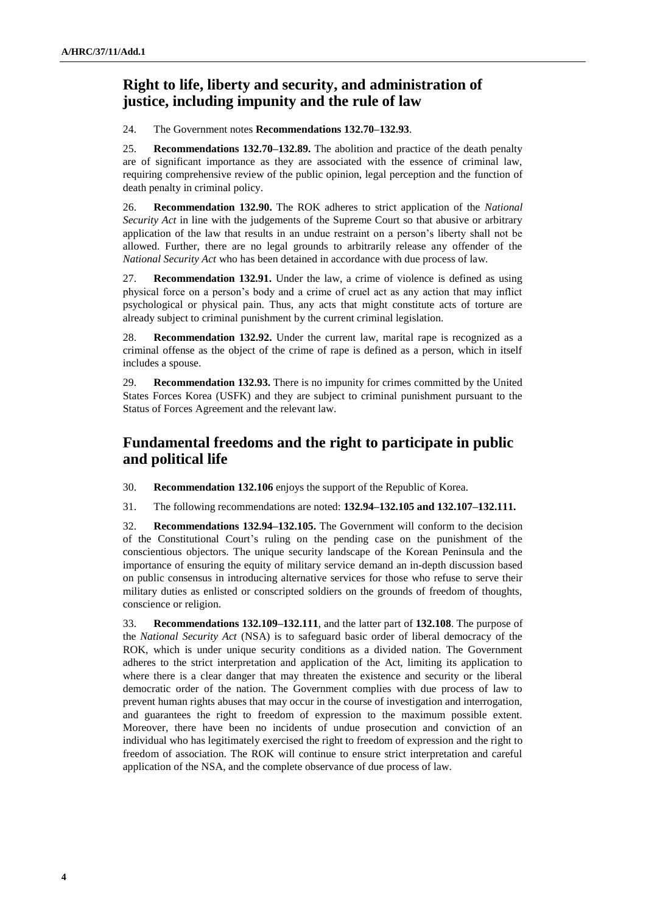# **Right to life, liberty and security, and administration of justice, including impunity and the rule of law**

24. The Government notes **Recommendations 132.70–132.93**.

25. **Recommendations 132.70–132.89.** The abolition and practice of the death penalty are of significant importance as they are associated with the essence of criminal law, requiring comprehensive review of the public opinion, legal perception and the function of death penalty in criminal policy.

26. **Recommendation 132.90.** The ROK adheres to strict application of the *National Security Act* in line with the judgements of the Supreme Court so that abusive or arbitrary application of the law that results in an undue restraint on a person's liberty shall not be allowed. Further, there are no legal grounds to arbitrarily release any offender of the *National Security Act* who has been detained in accordance with due process of law.

27. **Recommendation 132.91.** Under the law, a crime of violence is defined as using physical force on a person's body and a crime of cruel act as any action that may inflict psychological or physical pain. Thus, any acts that might constitute acts of torture are already subject to criminal punishment by the current criminal legislation.

28. **Recommendation 132.92.** Under the current law, marital rape is recognized as a criminal offense as the object of the crime of rape is defined as a person, which in itself includes a spouse.

29. **Recommendation 132.93.** There is no impunity for crimes committed by the United States Forces Korea (USFK) and they are subject to criminal punishment pursuant to the Status of Forces Agreement and the relevant law.

## **Fundamental freedoms and the right to participate in public and political life**

30. **Recommendation 132.106** enjoys the support of the Republic of Korea.

31. The following recommendations are noted: **132.94–132.105 and 132.107–132.111.**

32. **Recommendations 132.94–132.105.** The Government will conform to the decision of the Constitutional Court's ruling on the pending case on the punishment of the conscientious objectors. The unique security landscape of the Korean Peninsula and the importance of ensuring the equity of military service demand an in-depth discussion based on public consensus in introducing alternative services for those who refuse to serve their military duties as enlisted or conscripted soldiers on the grounds of freedom of thoughts, conscience or religion.

33. **Recommendations 132.109–132.111**, and the latter part of **132.108**. The purpose of the *National Security Act* (NSA) is to safeguard basic order of liberal democracy of the ROK, which is under unique security conditions as a divided nation. The Government adheres to the strict interpretation and application of the Act, limiting its application to where there is a clear danger that may threaten the existence and security or the liberal democratic order of the nation. The Government complies with due process of law to prevent human rights abuses that may occur in the course of investigation and interrogation, and guarantees the right to freedom of expression to the maximum possible extent. Moreover, there have been no incidents of undue prosecution and conviction of an individual who has legitimately exercised the right to freedom of expression and the right to freedom of association. The ROK will continue to ensure strict interpretation and careful application of the NSA, and the complete observance of due process of law.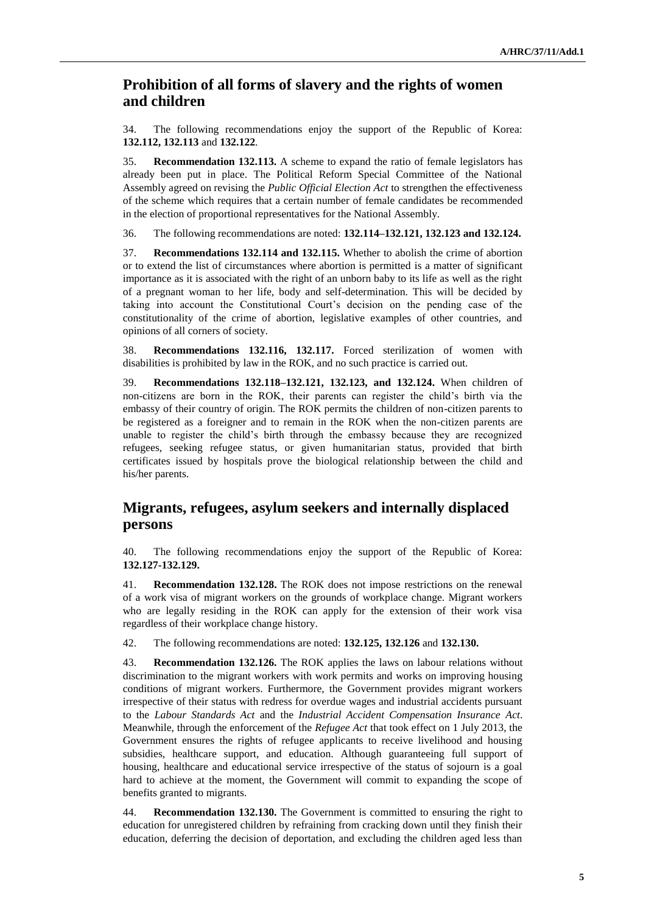## **Prohibition of all forms of slavery and the rights of women and children**

34. The following recommendations enjoy the support of the Republic of Korea: **132.112, 132.113** and **132.122**.

35. **Recommendation 132.113.** A scheme to expand the ratio of female legislators has already been put in place. The Political Reform Special Committee of the National Assembly agreed on revising the *Public Official Election Act* to strengthen the effectiveness of the scheme which requires that a certain number of female candidates be recommended in the election of proportional representatives for the National Assembly.

36. The following recommendations are noted: **132.114–132.121, 132.123 and 132.124.**

37. **Recommendations 132.114 and 132.115.** Whether to abolish the crime of abortion or to extend the list of circumstances where abortion is permitted is a matter of significant importance as it is associated with the right of an unborn baby to its life as well as the right of a pregnant woman to her life, body and self-determination. This will be decided by taking into account the Constitutional Court's decision on the pending case of the constitutionality of the crime of abortion, legislative examples of other countries, and opinions of all corners of society.

38. **Recommendations 132.116, 132.117.** Forced sterilization of women with disabilities is prohibited by law in the ROK, and no such practice is carried out.

39. **Recommendations 132.118–132.121, 132.123, and 132.124.** When children of non-citizens are born in the ROK, their parents can register the child's birth via the embassy of their country of origin. The ROK permits the children of non-citizen parents to be registered as a foreigner and to remain in the ROK when the non-citizen parents are unable to register the child's birth through the embassy because they are recognized refugees, seeking refugee status, or given humanitarian status, provided that birth certificates issued by hospitals prove the biological relationship between the child and his/her parents.

## **Migrants, refugees, asylum seekers and internally displaced persons**

40. The following recommendations enjoy the support of the Republic of Korea: **132.127-132.129.**

41. **Recommendation 132.128.** The ROK does not impose restrictions on the renewal of a work visa of migrant workers on the grounds of workplace change. Migrant workers who are legally residing in the ROK can apply for the extension of their work visa regardless of their workplace change history.

42. The following recommendations are noted: **132.125, 132.126** and **132.130.**

43. **Recommendation 132.126.** The ROK applies the laws on labour relations without discrimination to the migrant workers with work permits and works on improving housing conditions of migrant workers. Furthermore, the Government provides migrant workers irrespective of their status with redress for overdue wages and industrial accidents pursuant to the *Labour Standards Act* and the *Industrial Accident Compensation Insurance Act*. Meanwhile, through the enforcement of the *Refugee Act* that took effect on 1 July 2013, the Government ensures the rights of refugee applicants to receive livelihood and housing subsidies, healthcare support, and education. Although guaranteeing full support of housing, healthcare and educational service irrespective of the status of sojourn is a goal hard to achieve at the moment, the Government will commit to expanding the scope of benefits granted to migrants.

44. **Recommendation 132.130.** The Government is committed to ensuring the right to education for unregistered children by refraining from cracking down until they finish their education, deferring the decision of deportation, and excluding the children aged less than